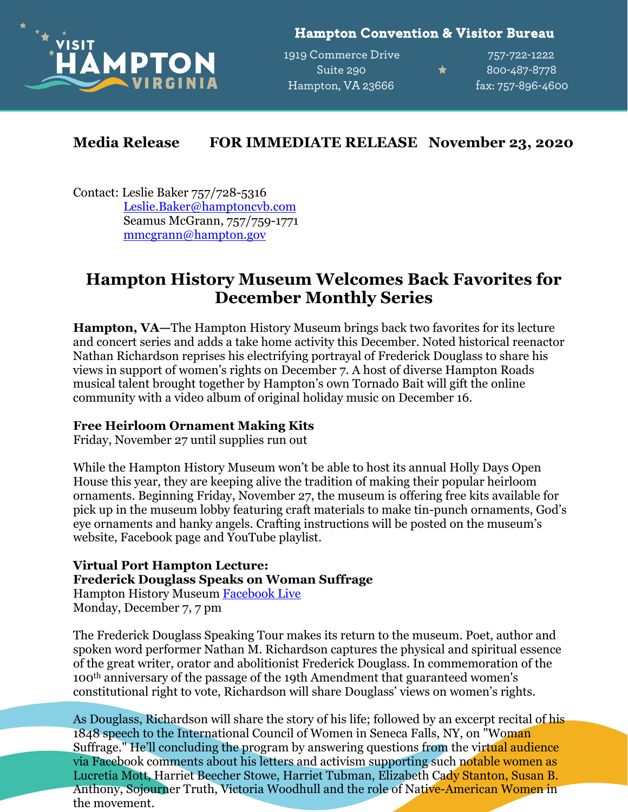

**Hampton Convention & Visitor Bureau** 

1919 Commerce Drive 757-722-1222 Suite 290 <del>1</del> 800-487-8778 Hampton, VA 23666 fax: 757-896-4600

## **Media Release FOR IMMEDIATE RELEASE November 23, 2020**

Contact: Leslie Baker 757/728-5316 [Leslie.Baker@hamptoncvb.com](mailto:leslie.baker@hamptoncvb.com) Seamus McGrann, 757/759-1771 [mmcgrann@hampton.gov](mailto:mmcgrann@hampton.gov)

## **Hampton History Museum Welcomes Back Favorites for December Monthly Series**

**Hampton, VA—**The Hampton History Museum brings back two favorites for its lecture and concert series and adds a take home activity this December. Noted historical reenactor Nathan Richardson reprises his electrifying portrayal of Frederick Douglass to share his views in support of women's rights on December 7. A host of diverse Hampton Roads musical talent brought together by Hampton's own Tornado Bait will gift the online community with a video album of original holiday music on December 16.

## **Free Heirloom Ornament Making Kits**

Friday, November 27 until supplies run out

While the Hampton History Museum won't be able to host its annual Holly Days Open House this year, they are keeping alive the tradition of making their popular heirloom ornaments. Beginning Friday, November 27, the museum is offering free kits available for pick up in the museum lobby featuring craft materials to make tin-punch ornaments, God's eye ornaments and hanky angels. Crafting instructions will be posted on the museum's website, Facebook page and YouTube playlist.

**Virtual Port Hampton Lecture: Frederick Douglass Speaks on Woman Suffrage** Hampton History Museum [Facebook Live](https://www.facebook.com/events/1828181013988092)

Monday, December 7, 7 pm

The Frederick Douglass Speaking Tour makes its return to the museum. Poet, author and spoken word performer Nathan M. Richardson captures the physical and spiritual essence of the great writer, orator and abolitionist Frederick Douglass. In commemoration of the 100th anniversary of the passage of the 19th Amendment that guaranteed women's constitutional right to vote, Richardson will share Douglass' views on women's rights.

As Douglass, Richardson will share the story of his life; followed by an excerpt recital of his 1848 speech to the International Council of Women in Seneca Falls, NY, on "Woman Suffrage." He'll concluding the program by answering questions from the virtual audience via Facebook comments about his letters and activism supporting such notable women as Lucretia Mott, Harriet Beecher Stowe, Harriet Tubman, Elizabeth Cady Stanton, Susan B. Anthony, Sojourner Truth, Victoria Woodhull and the role of Native-American Women in the movement.